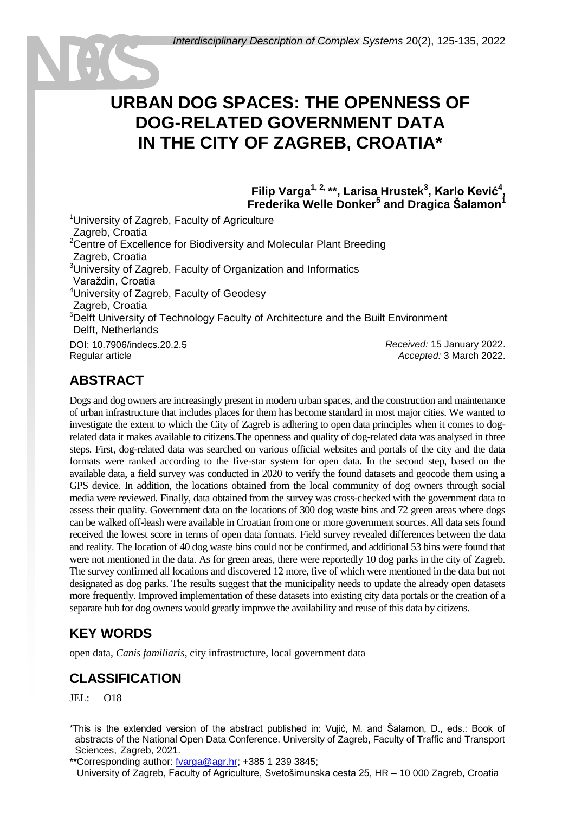# **URBAN DOG SPACES: THE OPENNESS OF DOG-RELATED GOVERNMENT DATA IN THE CITY OF ZAGREB, CROATIA\***

**Filip Varga1, 2, \*\*, Larisa Hrustek<sup>3</sup> , Karlo Kević<sup>4</sup> , Frederika Welle Donker<sup>5</sup> and Dragica Šalamon<sup>1</sup>**

<sup>1</sup> University of Zagreb, Faculty of Agriculture Zagreb, Croatia <sup>2</sup>Centre of Excellence for Biodiversity and Molecular Plant Breeding Zagreb, Croatia <sup>3</sup>University of Zagreb, Faculty of Organization and Informatics <sup>1</sup>Varaždin, Croatia <sup>4</sup>University of Zagreb, Faculty of Geodesy Zagreb, Croatia <sup>5</sup>Delft University of Technology Faculty of Architecture and the Built Environment Delft, Netherlands DOI: 10.7906/indecs.20.2.5 Regular article *Received:* 15 January 2022. *Accepted:* 3 March 2022.

### **ABSTRACT**

Dogs and dog owners are increasingly present in modern urban spaces, and the construction and maintenance of urban infrastructure that includes places for them has become standard in most major cities. We wanted to investigate the extent to which the City of Zagreb is adhering to open data principles when it comes to dogrelated data it makes available to citizens.The openness and quality of dog-related data was analysed in three steps. First, dog-related data was searched on various official websites and portals of the city and the data formats were ranked according to the five-star system for open data. In the second step, based on the available data, a field survey was conducted in 2020 to verify the found datasets and geocode them using a GPS device. In addition, the locations obtained from the local community of dog owners through social media were reviewed. Finally, data obtained from the survey was cross-checked with the government data to assess their quality. Government data on the locations of 300 dog waste bins and 72 green areas where dogs can be walked off-leash were available in Croatian from one or more government sources. All data sets found received the lowest score in terms of open data formats. Field survey revealed differences between the data and reality. The location of 40 dog waste bins could not be confirmed, and additional 53 bins were found that were not mentioned in the data. As for green areas, there were reportedly 10 dog parks in the city of Zagreb. The survey confirmed all locations and discovered 12 more, five of which were mentioned in the data but not designated as dog parks. The results suggest that the municipality needs to update the already open datasets more frequently. Improved implementation of these datasets into existing city data portals or the creation of a separate hub for dog owners would greatly improve the availability and reuse of this data by citizens.

# **KEY WORDS**

open data, *Canis familiaris*, city infrastructure, local government data

### **CLASSIFICATION**

 $JEL: O18$ 

\*This is the extended version of the abstract published in: Vujić, M. and Šalamon, D., eds.: Book of abstracts of the National Open Data Conference. University of Zagreb, Faculty of Traffic and Transport Sciences, Zagreb, 2021.

\*\*Corresponding author: [fvarga@agr.hr;](mailto:fvarga@agr.hr) +385 1 239 3845;

University of Zagreb, Faculty of Agriculture, Svetošimunska cesta 25, HR – 10 000 Zagreb, Croatia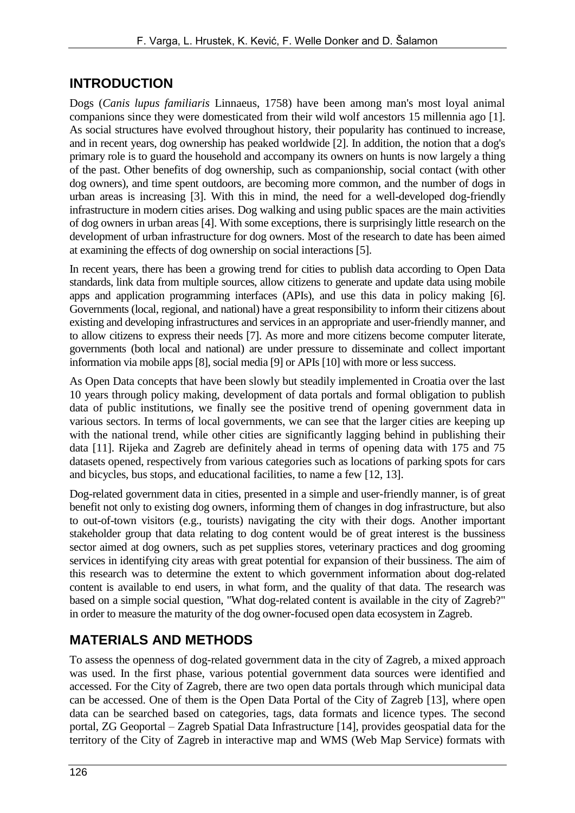#### **INTRODUCTION**

Dogs (*Canis lupus familiaris* Linnaeus, 1758) have been among man's most loyal animal companions since they were domesticated from their wild wolf ancestors 15 millennia ago [1]. As social structures have evolved throughout history, their popularity has continued to increase, and in recent years, dog ownership has peaked worldwide [2]. In addition, the notion that a dog's primary role is to guard the household and accompany its owners on hunts is now largely a thing of the past. Other benefits of dog ownership, such as companionship, social contact (with other dog owners), and time spent outdoors, are becoming more common, and the number of dogs in urban areas is increasing [3]. With this in mind, the need for a well-developed dog-friendly infrastructure in modern cities arises. Dog walking and using public spaces are the main activities of dog owners in urban areas [4]. With some exceptions, there is surprisingly little research on the development of urban infrastructure for dog owners. Most of the research to date has been aimed at examining the effects of dog ownership on social interactions [5].

In recent years, there has been a growing trend for cities to publish data according to Open Data standards, link data from multiple sources, allow citizens to generate and update data using mobile apps and application programming interfaces (APIs), and use this data in policy making [6]. Governments (local, regional, and national) have a great responsibility to inform their citizens about existing and developing infrastructures and services in an appropriate and user-friendly manner, and to allow citizens to express their needs [7]. As more and more citizens become computer literate, governments (both local and national) are under pressure to disseminate and collect important information via mobile apps [8], social media [9] or APIs [10] with more or less success.

As Open Data concepts that have been slowly but steadily implemented in Croatia over the last 10 years through policy making, development of data portals and formal obligation to publish data of public institutions, we finally see the positive trend of opening government data in various sectors. In terms of local governments, we can see that the larger cities are keeping up with the national trend, while other cities are significantly lagging behind in publishing their data [11]. Rijeka and Zagreb are definitely ahead in terms of opening data with 175 and 75 datasets opened, respectively from various categories such as locations of parking spots for cars and bicycles, bus stops, and educational facilities, to name a few [12, 13].

Dog-related government data in cities, presented in a simple and user-friendly manner, is of great benefit not only to existing dog owners, informing them of changes in dog infrastructure, but also to out-of-town visitors (e.g., tourists) navigating the city with their dogs. Another important stakeholder group that data relating to dog content would be of great interest is the bussiness sector aimed at dog owners, such as pet supplies stores, veterinary practices and dog grooming services in identifying city areas with great potential for expansion of their bussiness. The aim of this research was to determine the extent to which government information about dog-related content is available to end users, in what form, and the quality of that data. The research was based on a simple social question, "What dog-related content is available in the city of Zagreb?" in order to measure the maturity of the dog owner-focused open data ecosystem in Zagreb.

# **MATERIALS AND METHODS**

To assess the openness of dog-related government data in the city of Zagreb, a mixed approach was used. In the first phase, various potential government data sources were identified and accessed. For the City of Zagreb, there are two open data portals through which municipal data can be accessed. One of them is the Open Data Portal of the City of Zagreb [13], where open data can be searched based on categories, tags, data formats and licence types. The second portal, ZG Geoportal – Zagreb Spatial Data Infrastructure [14], provides geospatial data for the territory of the City of Zagreb in interactive map and WMS (Web Map Service) formats with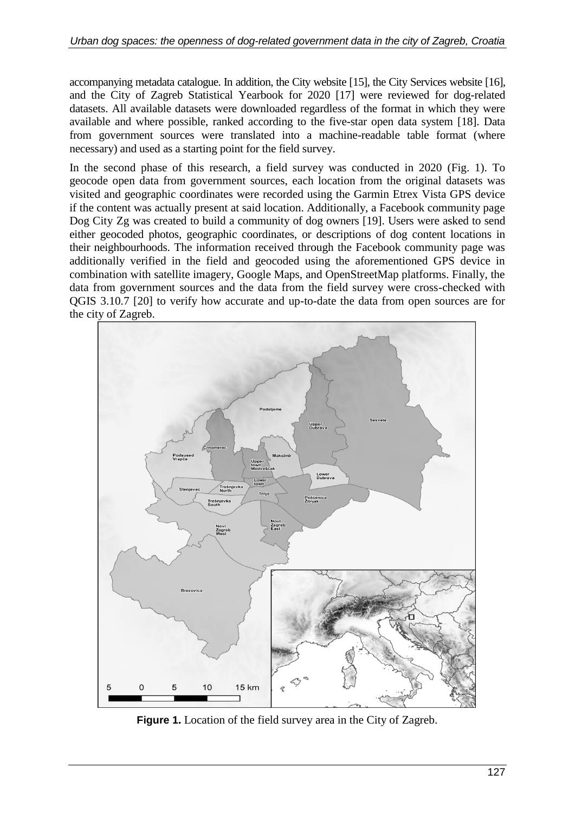accompanying metadata catalogue. In addition, the City website [15], the City Services website [16], and the City of Zagreb Statistical Yearbook for 2020 [17] were reviewed for dog-related datasets. All available datasets were downloaded regardless of the format in which they were available and where possible, ranked according to the five-star open data system [18]. Data from government sources were translated into a machine-readable table format (where necessary) and used as a starting point for the field survey.

In the second phase of this research, a field survey was conducted in 2020 (Fig. 1). To geocode open data from government sources, each location from the original datasets was visited and geographic coordinates were recorded using the Garmin Etrex Vista GPS device if the content was actually present at said location. Additionally, a Facebook community page Dog City Zg was created to build a community of dog owners [19]. Users were asked to send either geocoded photos, geographic coordinates, or descriptions of dog content locations in their neighbourhoods. The information received through the Facebook community page was additionally verified in the field and geocoded using the aforementioned GPS device in combination with satellite imagery, Google Maps, and OpenStreetMap platforms. Finally, the data from government sources and the data from the field survey were cross-checked with QGIS 3.10.7 [20] to verify how accurate and up-to-date the data from open sources are for the city of Zagreb.



**Figure 1.** Location of the field survey area in the City of Zagreb.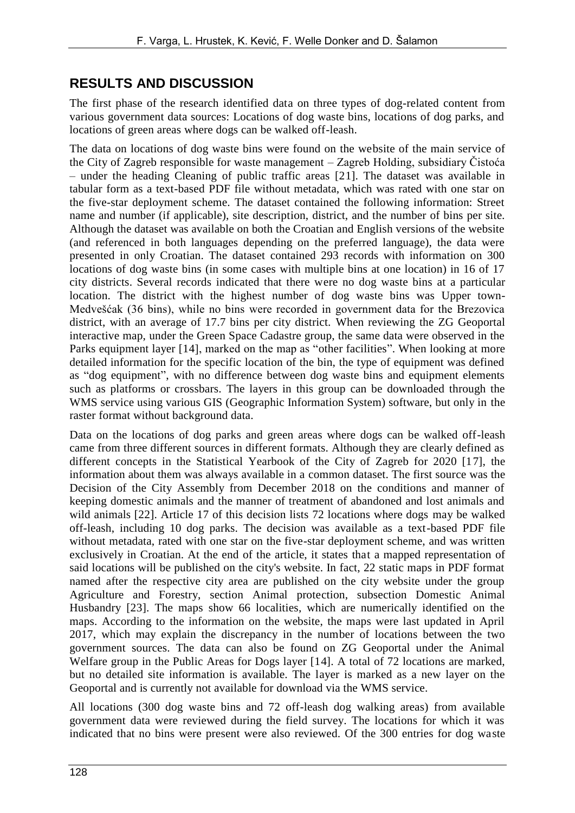#### **RESULTS AND DISCUSSION**

The first phase of the research identified data on three types of dog-related content from various government data sources: Locations of dog waste bins, locations of dog parks, and locations of green areas where dogs can be walked off-leash.

The data on locations of dog waste bins were found on the website of the main service of the City of Zagreb responsible for waste management – Zagreb Holding, subsidiary Čistoća – under the heading Cleaning of public traffic areas [21]. The dataset was available in tabular form as a text-based PDF file without metadata, which was rated with one star on the five-star deployment scheme. The dataset contained the following information: Street name and number (if applicable), site description, district, and the number of bins per site. Although the dataset was available on both the Croatian and English versions of the website (and referenced in both languages depending on the preferred language), the data were presented in only Croatian. The dataset contained 293 records with information on 300 locations of dog waste bins (in some cases with multiple bins at one location) in 16 of 17 city districts. Several records indicated that there were no dog waste bins at a particular location. The district with the highest number of dog waste bins was Upper town-Medvešćak (36 bins), while no bins were recorded in government data for the Brezovica district, with an average of 17.7 bins per city district. When reviewing the ZG Geoportal interactive map, under the Green Space Cadastre group, the same data were observed in the Parks equipment layer [14], marked on the map as "other facilities". When looking at more detailed information for the specific location of the bin, the type of equipment was defined as "dog equipment", with no difference between dog waste bins and equipment elements such as platforms or crossbars. The layers in this group can be downloaded through the WMS service using various GIS (Geographic Information System) software, but only in the raster format without background data.

Data on the locations of dog parks and green areas where dogs can be walked off-leash came from three different sources in different formats. Although they are clearly defined as different concepts in the Statistical Yearbook of the City of Zagreb for 2020 [17], the information about them was always available in a common dataset. The first source was the Decision of the City Assembly from December 2018 on the conditions and manner of keeping domestic animals and the manner of treatment of abandoned and lost animals and wild animals [22]. Article 17 of this decision lists 72 locations where dogs may be walked off-leash, including 10 dog parks. The decision was available as a text-based PDF file without metadata, rated with one star on the five-star deployment scheme, and was written exclusively in Croatian. At the end of the article, it states that a mapped representation of said locations will be published on the city's website. In fact, 22 static maps in PDF format named after the respective city area are published on the city website under the group Agriculture and Forestry, section Animal protection, subsection Domestic Animal Husbandry [23]. The maps show 66 localities, which are numerically identified on the maps. According to the information on the website, the maps were last updated in April 2017, which may explain the discrepancy in the number of locations between the two government sources. The data can also be found on ZG Geoportal under the Animal Welfare group in the Public Areas for Dogs layer [14]. A total of 72 locations are marked, but no detailed site information is available. The layer is marked as a new layer on the Geoportal and is currently not available for download via the WMS service.

All locations (300 dog waste bins and 72 off-leash dog walking areas) from available government data were reviewed during the field survey. The locations for which it was indicated that no bins were present were also reviewed. Of the 300 entries for dog waste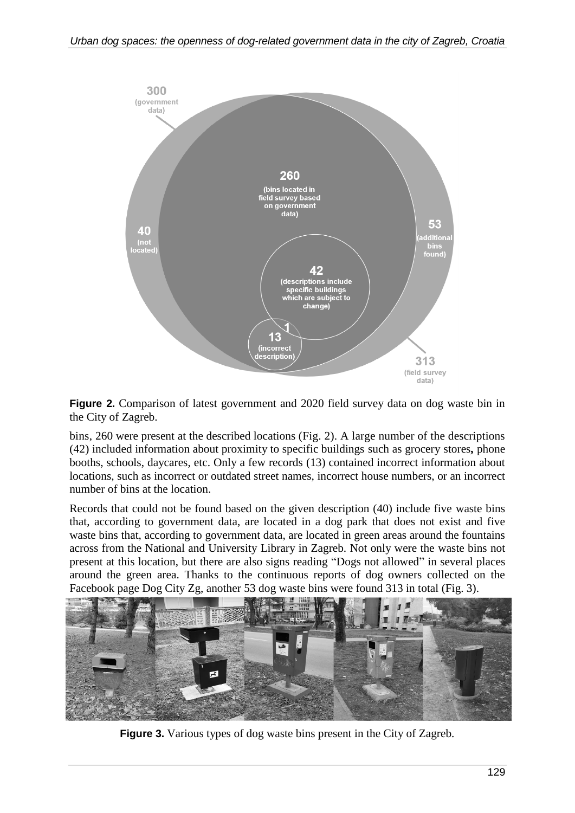

**Figure 2.** Comparison of latest government and 2020 field survey data on dog waste bin in the City of Zagreb.

bins, 260 were present at the described locations (Fig. 2). A large number of the descriptions (42) included information about proximity to specific buildings such as grocery stores**,** phone booths, schools, daycares, etc. Only a few records (13) contained incorrect information about locations, such as incorrect or outdated street names, incorrect house numbers, or an incorrect number of bins at the location.

Records that could not be found based on the given description (40) include five waste bins that, according to government data, are located in a dog park that does not exist and five waste bins that, according to government data, are located in green areas around the fountains across from the National and University Library in Zagreb. Not only were the waste bins not present at this location, but there are also signs reading "Dogs not allowed" in several places around the green area. Thanks to the continuous reports of dog owners collected on the Facebook page Dog City Zg, another 53 dog waste bins were found 313 in total (Fig. 3).



**Figure 3.** Various types of dog waste bins present in the City of Zagreb.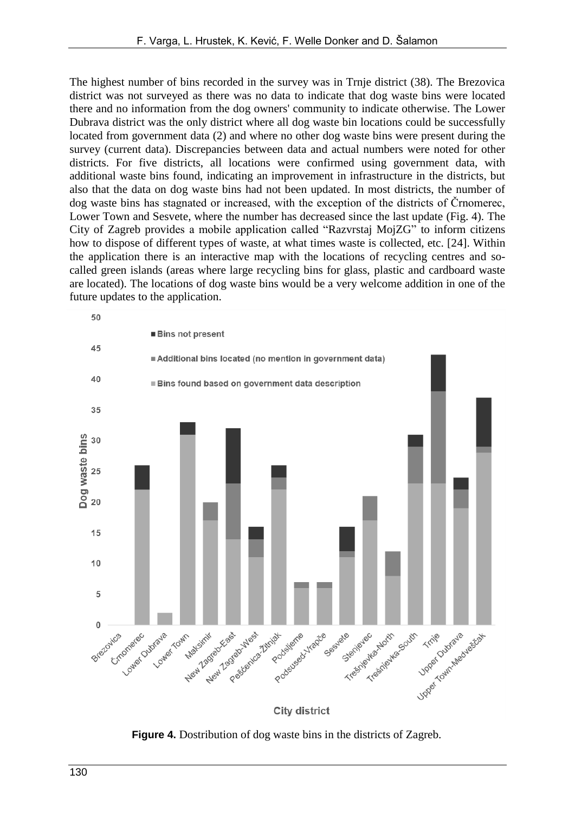The highest number of bins recorded in the survey was in Trnje district (38). The Brezovica district was not surveyed as there was no data to indicate that dog waste bins were located there and no information from the dog owners' community to indicate otherwise. The Lower Dubrava district was the only district where all dog waste bin locations could be successfully located from government data (2) and where no other dog waste bins were present during the survey (current data). Discrepancies between data and actual numbers were noted for other districts. For five districts, all locations were confirmed using government data, with additional waste bins found, indicating an improvement in infrastructure in the districts, but also that the data on dog waste bins had not been updated. In most districts, the number of dog waste bins has stagnated or increased, with the exception of the districts of Črnomerec, Lower Town and Sesvete, where the number has decreased since the last update (Fig. 4). The City of Zagreb provides a mobile application called "Razvrstaj MojZG" to inform citizens how to dispose of different types of waste, at what times waste is collected, etc. [24]. Within the application there is an interactive map with the locations of recycling centres and socalled green islands (areas where large recycling bins for glass, plastic and cardboard waste are located). The locations of dog waste bins would be a very welcome addition in one of the future updates to the application.



**Figure 4.** Dostribution of dog waste bins in the districts of Zagreb.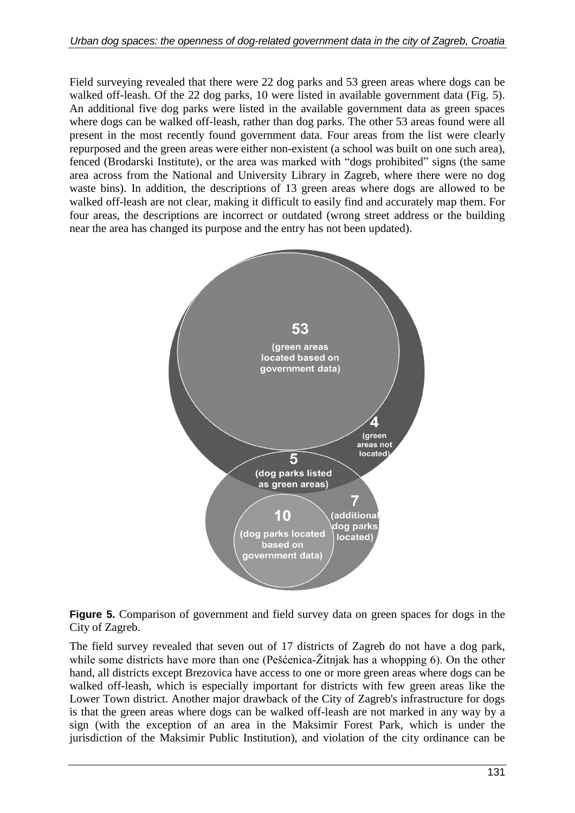Field surveying revealed that there were 22 dog parks and 53 green areas where dogs can be walked off-leash. Of the 22 dog parks, 10 were listed in available government data (Fig. 5). An additional five dog parks were listed in the available government data as green spaces where dogs can be walked off-leash, rather than dog parks. The other 53 areas found were all present in the most recently found government data. Four areas from the list were clearly repurposed and the green areas were either non-existent (a school was built on one such area), fenced (Brodarski Institute), or the area was marked with "dogs prohibited" signs (the same area across from the National and University Library in Zagreb, where there were no dog waste bins). In addition, the descriptions of 13 green areas where dogs are allowed to be walked off-leash are not clear, making it difficult to easily find and accurately map them. For four areas, the descriptions are incorrect or outdated (wrong street address or the building near the area has changed its purpose and the entry has not been updated).



**Figure 5.** Comparison of government and field survey data on green spaces for dogs in the City of Zagreb.

The field survey revealed that seven out of 17 districts of Zagreb do not have a dog park, while some districts have more than one (Pešćenica-Žitnjak has a whopping 6). On the other hand, all districts except Brezovica have access to one or more green areas where dogs can be walked off-leash, which is especially important for districts with few green areas like the Lower Town district. Another major drawback of the City of Zagreb's infrastructure for dogs is that the green areas where dogs can be walked off-leash are not marked in any way by a sign (with the exception of an area in the Maksimir Forest Park, which is under the jurisdiction of the Maksimir Public Institution), and violation of the city ordinance can be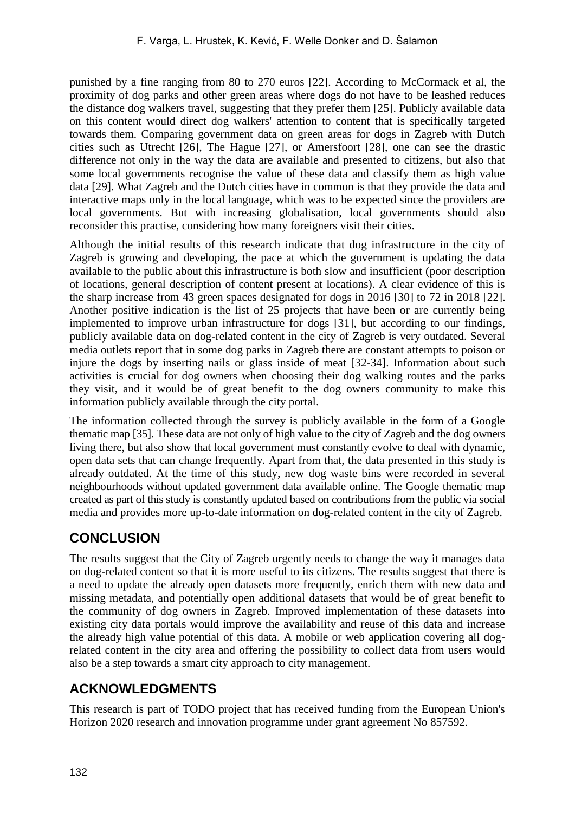punished by a fine ranging from 80 to 270 euros [22]. According to McCormack et al, the proximity of dog parks and other green areas where dogs do not have to be leashed reduces the distance dog walkers travel, suggesting that they prefer them [25]. Publicly available data on this content would direct dog walkers' attention to content that is specifically targeted towards them. Comparing government data on green areas for dogs in Zagreb with Dutch cities such as Utrecht [26], The Hague [27], or Amersfoort [28], one can see the drastic difference not only in the way the data are available and presented to citizens, but also that some local governments recognise the value of these data and classify them as high value data [29]. What Zagreb and the Dutch cities have in common is that they provide the data and interactive maps only in the local language, which was to be expected since the providers are local governments. But with increasing globalisation, local governments should also reconsider this practise, considering how many foreigners visit their cities.

Although the initial results of this research indicate that dog infrastructure in the city of Zagreb is growing and developing, the pace at which the government is updating the data available to the public about this infrastructure is both slow and insufficient (poor description of locations, general description of content present at locations). A clear evidence of this is the sharp increase from 43 green spaces designated for dogs in 2016 [30] to 72 in 2018 [22]. Another positive indication is the list of 25 projects that have been or are currently being implemented to improve urban infrastructure for dogs [31], but according to our findings, publicly available data on dog-related content in the city of Zagreb is very outdated. Several media outlets report that in some dog parks in Zagreb there are constant attempts to poison or injure the dogs by inserting nails or glass inside of meat [32-34]. Information about such activities is crucial for dog owners when choosing their dog walking routes and the parks they visit, and it would be of great benefit to the dog owners community to make this information publicly available through the city portal.

The information collected through the survey is publicly available in the form of a Google thematic map [35]. These data are not only of high value to the city of Zagreb and the dog owners living there, but also show that local government must constantly evolve to deal with dynamic, open data sets that can change frequently. Apart from that, the data presented in this study is already outdated. At the time of this study, new dog waste bins were recorded in several neighbourhoods without updated government data available online. The Google thematic map created as part of this study is constantly updated based on contributions from the public via social media and provides more up-to-date information on dog-related content in the city of Zagreb.

# **CONCLUSION**

The results suggest that the City of Zagreb urgently needs to change the way it manages data on dog-related content so that it is more useful to its citizens. The results suggest that there is a need to update the already open datasets more frequently, enrich them with new data and missing metadata, and potentially open additional datasets that would be of great benefit to the community of dog owners in Zagreb. Improved implementation of these datasets into existing city data portals would improve the availability and reuse of this data and increase the already high value potential of this data. A mobile or web application covering all dogrelated content in the city area and offering the possibility to collect data from users would also be a step towards a smart city approach to city management.

### **ACKNOWLEDGMENTS**

This research is part of TODO project that has received funding from the European Union's Horizon 2020 research and innovation programme under grant agreement No 857592.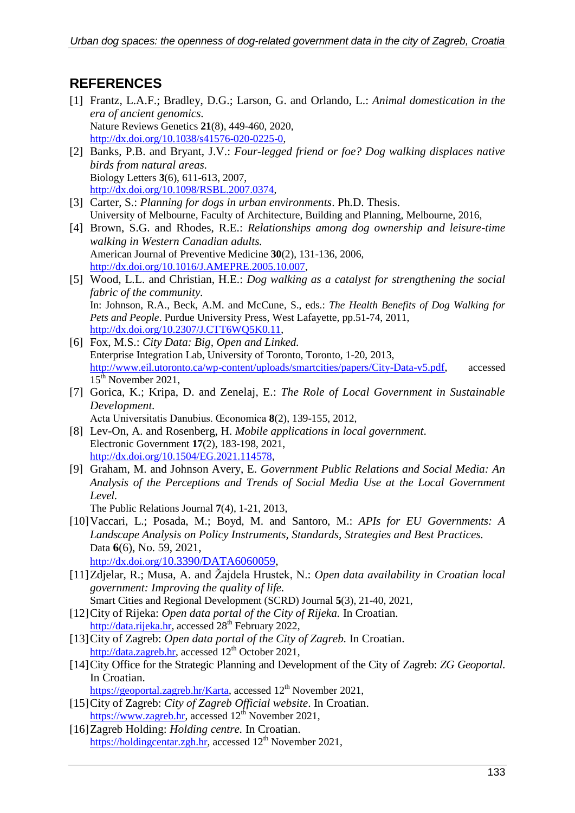#### **REFERENCES**

- [1] Frantz, L.A.F.; Bradley, D.G.; Larson, G. and Orlando, L.: *Animal domestication in the era of ancient genomics.* Nature Reviews Genetics **21**(8), 449-460, 2020, [http://dx.doi.org/10.1038/s41576-020-0225-0,](http://dx.doi.org/10.1038/s41576-020-0225-0)
- [2] Banks, P.B. and Bryant, J.V.: *Four-legged friend or foe? Dog walking displaces native birds from natural areas.* Biology Letters **3**(6), 611-613, 2007, [http://dx.doi.org/10.1098/RSBL.2007.0374,](http://dx.doi.org/10.1098/RSBL.2007.0374)
- [3] Carter, S.: *Planning for dogs in urban environments*. Ph.D. Thesis. University of Melbourne, Faculty of Architecture, Building and Planning, Melbourne, 2016,
- [4] Brown, S.G. and Rhodes, R.E.: *Relationships among dog ownership and leisure-time walking in Western Canadian adults.* American Journal of Preventive Medicine **30**(2), 131-136, 2006, [http://dx.doi.org/10.1016/J.AMEPRE.2005.10.007,](http://dx.doi.org/10.1016/J.AMEPRE.2005.10.007)
- [5] Wood, L.L. and Christian, H.E.: *Dog walking as a catalyst for strengthening the social fabric of the community.* In: Johnson, R.A., Beck, A.M. and McCune, S., eds.: *The Health Benefits of Dog Walking for Pets and People*. Purdue University Press, West Lafayette, pp.51-74, 2011, [http://dx.doi.org/10.2307/J.CTT6WQ5K0.11,](http://dx.doi.org/10.2307/J.CTT6WQ5K0.11)
- [6] Fox, M.S.: *City Data: Big, Open and Linked.* Enterprise Integration Lab, University of Toronto, Toronto, 1-20, 2013, [http://www.eil.utoronto.ca/wp-content/uploads/smartcities/papers/City-Data-v5.pdf,](http://www.eil.utoronto.ca/wp-content/uploads/smartcities/papers/City-Data-v5.pdf) accessed 15<sup>th</sup> November 2021,
- [7] Gorica, K.; Kripa, D. and Zenelaj, E.: *The Role of Local Government in Sustainable Development.* Acta Universitatis Danubius. Œconomica **8**(2), 139-155, 2012,
- [8] Lev-On, A. and Rosenberg, H. *Mobile applications in local government*. Electronic Government **17**(2), 183-198, 2021,
	- [http://dx.doi.org/10.1504/EG.2021.114578,](http://dx.doi.org/10.1504/EG.2021.114578)
- [9] Graham, M. and Johnson Avery, E. *Government Public Relations and Social Media: An Analysis of the Perceptions and Trends of Social Media Use at the Local Government Level.*

The Public Relations Journal **7**(4), 1-21, 2013,

- [10]Vaccari, L.; Posada, M.; Boyd, M. and Santoro, M.: *APIs for EU Governments: A Landscape Analysis on Policy Instruments, Standards, Strategies and Best Practices.* Data **6**(6), No. 59, 2021, http://dx.doi.org/[10.3390/DATA6060059,](http://dx.doi.org/10.3390/DATA6060059)
- [11]Zdjelar, R.; Musa, A. and Žajdela Hrustek, N.: *Open data availability in Croatian local government: Improving the quality of life.*
- Smart Cities and Regional Development (SCRD) Journal **5**(3), 21-40, 2021, [12]City of Rijeka: *Open data portal of the City of Rijeka.* In Croatian.

[http://data.rijeka.hr,](http://data.rijeka.hr/) accessed  $28<sup>th</sup>$  February 2022,

- [13]City of Zagreb: *Open data portal of the City of Zagreb.* In Croatian. [http://data.zagreb.hr,](http://data.zagreb.hr/) accessed 12<sup>th</sup> October 2021,
- [14]City Office for the Strategic Planning and Development of the City of Zagreb: *ZG Geoportal*. In Croatian.

[https://geoportal.zagreb.hr/Karta,](https://geoportal.zagreb.hr/Karta) accessed 12<sup>th</sup> November 2021,

- [15]City of Zagreb: *City of Zagreb Official website*. In Croatian. [https://www.zagreb.hr,](https://www.zagreb.hr/) accessed  $12<sup>th</sup>$  November 2021,
- [16]Zagreb Holding: *Holding centre.* In Croatian. [https://holdingcentar.zgh.hr,](https://holdingcentar.zgh.hr/) accessed 12<sup>th</sup> November 2021,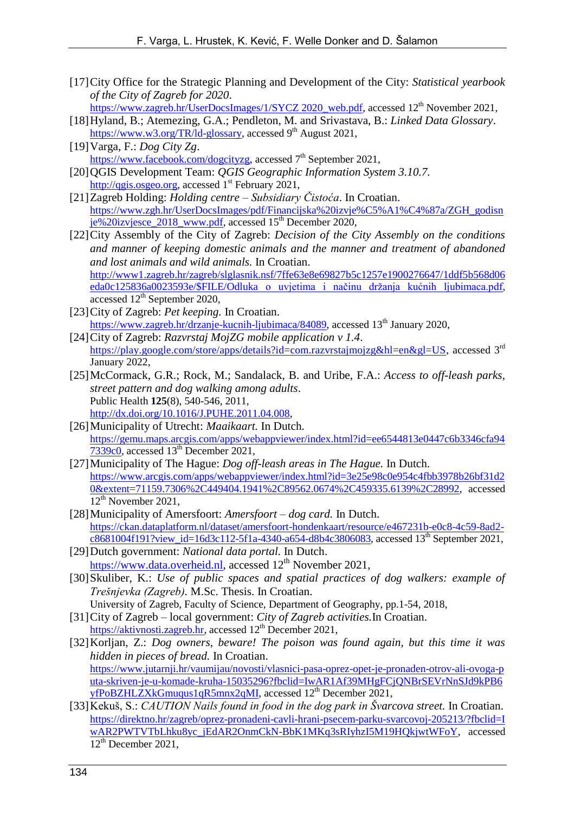[17]City Office for the Strategic Planning and Development of the City: *Statistical yearbook of the City of Zagreb for 2020*.

[https://www.zagreb.hr/UserDocsImages/1/SYCZ](https://www.zagreb.hr/UserDocsImages/1/SYCZ%202020_web.pdf) 2020\_web.pdf, accessed 12<sup>th</sup> November 2021,

- [18]Hyland, B.; Atemezing, G.A.; Pendleton, M. and Srivastava, B.: *Linked Data Glossary*. [https://www.w3.org/TR/ld-glossary,](https://www.w3.org/TR/ld-glossary) accessed 9<sup>th</sup> August 2021,
- [19]Varga, F.: *Dog City Zg*. <u>https://www.facebook.com/dogcityzg</u>, accessed 7<sup>th</sup> September 2021,
- [20]QGIS Development Team: *QGIS Geographic Information System 3.10.7.* [http://qgis.osgeo.org,](http://qgis.osgeo.org/) accessed 1<sup>st</sup> February 2021,
- [21]Zagreb Holding: *Holding centre – Subsidiary Čistoća*. In Croatian. [https://www.zgh.hr/UserDocsImages/pdf/Financijska%20izvje%C5%A1%C4%87a/ZGH\\_godisn](https://www.zgh.hr/UserDocsImages/pdf/Financijska%20izvje%C5%A1%C4%87a/ZGH_godisnje%20izvjesce_2018_www.pdf) [je%20izvjesce\\_2018\\_www.pdf,](https://www.zgh.hr/UserDocsImages/pdf/Financijska%20izvje%C5%A1%C4%87a/ZGH_godisnje%20izvjesce_2018_www.pdf) accessed 15th December 2020,
- [22]City Assembly of the City of Zagreb: *Decision of the City Assembly on the conditions and manner of keeping domestic animals and the manner and treatment of abandoned and lost animals and wild animals.* In Croatian. [http://www1.zagreb.hr/zagreb/slglasnik.nsf/7ffe63e8e69827b5c1257e1900276647/1ddf5b568d06](http://www1.zagreb.hr/zagreb/slglasnik.nsf/7ffe63e8e69827b5c1257e1900276647/1ddf5b568d06eda0c125836a0023593e/$FILE/Odluka%20o%20uvjetima%20i%20načinu%20držanja%20kućnih%20ljubimaca.pdf) eda0c125836a0023593e/\$FILE/Odluka [o uvjetima i načinu držanja kućnih ljubimaca.pdf,](http://www1.zagreb.hr/zagreb/slglasnik.nsf/7ffe63e8e69827b5c1257e1900276647/1ddf5b568d06eda0c125836a0023593e/$FILE/Odluka%20o%20uvjetima%20i%20načinu%20držanja%20kućnih%20ljubimaca.pdf) accessed  $12<sup>th</sup>$  September 2020,
- [23]City of Zagreb: *Pet keeping.* In Croatian. [https://www.zagreb.hr/drzanje-kucnih-ljubimaca/84089,](https://www.zagreb.hr/drzanje-kucnih-ljubimaca/84089) accessed 13<sup>th</sup> January 2020,
- [24]City of Zagreb: *Razvrstaj MojZG mobile application v 1.4*. [https://play.google.com/store/apps/details?id=com.razvrstajmojzg&hl=en&gl=US,](https://play.google.com/store/apps/details?id=com.razvrstajmojzg&hl=en&gl=US) accessed 3<sup>rd</sup> January 2022,
- [25]McCormack, G.R.; Rock, M.; Sandalack, B. and Uribe, F.A.: *Access to off-leash parks, street pattern and dog walking among adults*. Public Health **125**(8), 540-546, 2011, [http://dx.doi.org/10.1016/J.PUHE.2011.04.008,](http://dx.doi.org/10.1016/J.PUHE.2011.04.008)
- [26]Municipality of Utrecht: *Maaikaart.* In Dutch. [https://gemu.maps.arcgis.com/apps/webappviewer/index.html?id=ee6544813e0447c6b3346cfa94](https://gemu.maps.arcgis.com/apps/webappviewer/index.html?id=ee6544813e0447c6b3346cfa947339c0) [7339c0,](https://gemu.maps.arcgis.com/apps/webappviewer/index.html?id=ee6544813e0447c6b3346cfa947339c0) accessed 13<sup>th</sup> December 2021,
- [27]Municipality of The Hague: *Dog off-leash areas in The Hague.* In Dutch. [https://www.arcgis.com/apps/webappviewer/index.html?id=3e25e98c0e954c4fbb3978b26bf31d2](https://www.arcgis.com/apps/webappviewer/index.html?id=3e25e98c0e954c4fbb3978b26bf31d20&extent=71159.7306%2C449404.1941%2C89562.0674%2C459335.6139%2C28992) [0&extent=71159.7306%2C449404.1941%2C89562.0674%2C459335.6139%2C28992,](https://www.arcgis.com/apps/webappviewer/index.html?id=3e25e98c0e954c4fbb3978b26bf31d20&extent=71159.7306%2C449404.1941%2C89562.0674%2C459335.6139%2C28992) accessed  $12<sup>th</sup>$  November 2021,
- [28]Municipality of Amersfoort: *Amersfoort – dog card.* In Dutch. [https://ckan.dataplatform.nl/dataset/amersfoort-hondenkaart/resource/e467231b-e0c8-4c59-8ad2](https://ckan.dataplatform.nl/dataset/amersfoort-hondenkaart/resource/e467231b-e0c8-4c59-8ad2-c8681004f191?view_id=16d3c112-5f1a-4340-a654-d8b4c3806083) [c8681004f191?view\\_id=16d3c112-5f1a-4340-a654-d8b4c3806083,](https://ckan.dataplatform.nl/dataset/amersfoort-hondenkaart/resource/e467231b-e0c8-4c59-8ad2-c8681004f191?view_id=16d3c112-5f1a-4340-a654-d8b4c3806083) accessed 13<sup>th</sup> September 2021,
- [29]Dutch government: *National data portal.* In Dutch. https[://www.data.overheid.nl,](https://www.data.overheid.nl/) accessed  $12<sup>th</sup>$  November 2021,
- [30]Skuliber, K.: *Use of public spaces and spatial practices of dog walkers: example of Trešnjevka (Zagreb).* M.Sc. Thesis. In Croatian. University of Zagreb, Faculty of Science, Department of Geography, pp.1-54, 2018,
- [31]City of Zagreb local government: *City of Zagreb activities.*In Croatian.
- [https://aktivnosti.zagreb.hr,](https://aktivnosti.zagreb.hr/) accessed 12<sup>th</sup> December 2021,
- [32]Korljan, Z.: *Dog owners, beware! The poison was found again, but this time it was hidden in pieces of bread.* In Croatian. [https://www.jutarnji.hr/vaumijau/novosti/vlasnici-pasa-oprez-opet-je-pronaden-otrov-ali-ovoga-p](https://www.jutarnji.hr/vaumijau/novosti/vlasnici-pasa-oprez-opet-je-pronaden-otrov-ali-ovoga-puta-skriven-je-u-komade-kruha-15035296?fbclid=IwAR1Af39MHgFCjQNBrSEVrNnSJd9kPB6yfPoBZHLZXkGmuqus1qR5mnx2qMI) [uta-skriven-je-u-komade-kruha-15035296?fbclid=IwAR1Af39MHgFCjQNBrSEVrNnSJd9kPB6](https://www.jutarnji.hr/vaumijau/novosti/vlasnici-pasa-oprez-opet-je-pronaden-otrov-ali-ovoga-puta-skriven-je-u-komade-kruha-15035296?fbclid=IwAR1Af39MHgFCjQNBrSEVrNnSJd9kPB6yfPoBZHLZXkGmuqus1qR5mnx2qMI) [yfPoBZHLZXkGmuqus1qR5mnx2qMI,](https://www.jutarnji.hr/vaumijau/novosti/vlasnici-pasa-oprez-opet-je-pronaden-otrov-ali-ovoga-puta-skriven-je-u-komade-kruha-15035296?fbclid=IwAR1Af39MHgFCjQNBrSEVrNnSJd9kPB6yfPoBZHLZXkGmuqus1qR5mnx2qMI) accessed 12<sup>th</sup> December 2021,
- [33]Kekuš, S.: *CAUTION Nails found in food in the dog park in Švarcova street.* In Croatian. [https://direktno.hr/zagreb/oprez-pronadeni-cavli-hrani-psecem-parku-svarcovoj-205213/?fbclid=I](https://direktno.hr/zagreb/oprez-pronadeni-cavli-hrani-psecem-parku-svarcovoj-205213/?fbclid=IwAR2PWTVTbLhku8yc_jEdAR2OnmCkN-BbK1MKq3sRIyhzI5M19HQkjwtWFoY) [wAR2PWTVTbLhku8yc\\_jEdAR2OnmCkN-BbK1MKq3sRIyhzI5M19HQkjwtWFoY,](https://direktno.hr/zagreb/oprez-pronadeni-cavli-hrani-psecem-parku-svarcovoj-205213/?fbclid=IwAR2PWTVTbLhku8yc_jEdAR2OnmCkN-BbK1MKq3sRIyhzI5M19HQkjwtWFoY) accessed 12<sup>th</sup> December 2021,